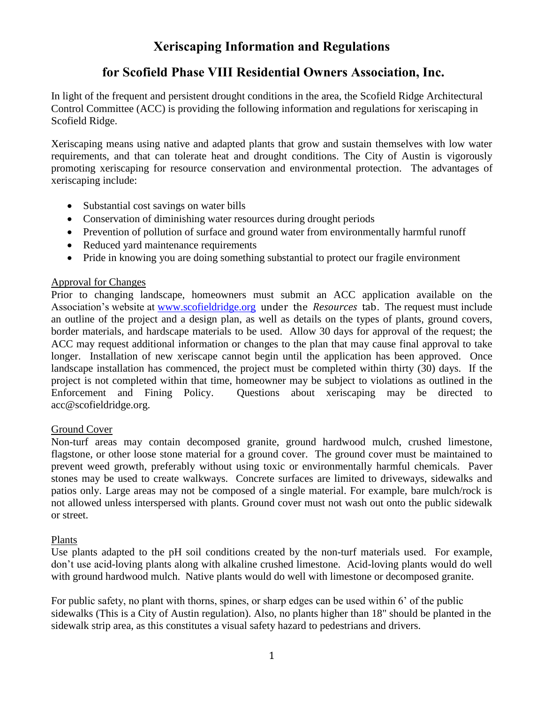# **Xeriscaping Information and Regulations**

## **for Scofield Phase VIII Residential Owners Association, Inc.**

In light of the frequent and persistent drought conditions in the area, the Scofield Ridge Architectural Control Committee (ACC) is providing the following information and regulations for xeriscaping in Scofield Ridge.

Xeriscaping means using native and adapted plants that grow and sustain themselves with low water requirements, and that can tolerate heat and drought conditions. The City of Austin is vigorously promoting xeriscaping for resource conservation and environmental protection. The advantages of xeriscaping include:

- Substantial cost savings on water bills
- Conservation of diminishing water resources during drought periods
- Prevention of pollution of surface and ground water from environmentally harmful runoff
- Reduced yard maintenance requirements
- Pride in knowing you are doing something substantial to protect our fragile environment

## Approval for Changes

Prior to changing landscape, homeowners must submit an ACC application available on the Association's website at [www.scofieldridge.org](http://www.scofieldridge.org/) under the *Resources* tab. The request must include an outline of the project and a design plan, as well as details on the types of plants, ground covers, border materials, and hardscape materials to be used. Allow 30 days for approval of the request; the ACC may request additional information or changes to the plan that may cause final approval to take longer. Installation of new xeriscape cannot begin until the application has been approved. Once landscape installation has commenced, the project must be completed within thirty (30) days. If the project is not completed within that time, homeowner may be subject to violations as outlined in the Enforcement and Fining Policy. Questions about xeriscaping may be directed to acc@scofieldridge.org.

## Ground Cover

Non-turf areas may contain decomposed granite, ground hardwood mulch, crushed limestone, flagstone, or other loose stone material for a ground cover. The ground cover must be maintained to prevent weed growth, preferably without using toxic or environmentally harmful chemicals. Paver stones may be used to create walkways. Concrete surfaces are limited to driveways, sidewalks and patios only. Large areas may not be composed of a single material. For example, bare mulch/rock is not allowed unless interspersed with plants. Ground cover must not wash out onto the public sidewalk or street.

## Plants

Use plants adapted to the pH soil conditions created by the non-turf materials used. For example, don't use acid-loving plants along with alkaline crushed limestone. Acid-loving plants would do well with ground hardwood mulch. Native plants would do well with limestone or decomposed granite.

For public safety, no plant with thorns, spines, or sharp edges can be used within 6' of the public sidewalks (This is a City of Austin regulation). Also, no plants higher than 18" should be planted in the sidewalk strip area, as this constitutes a visual safety hazard to pedestrians and drivers.